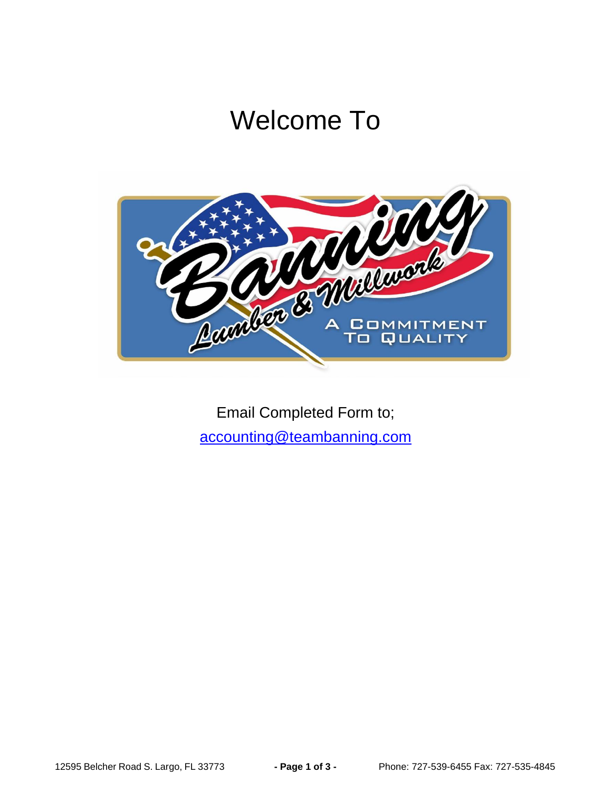## Welcome To



Email Completed Form to; [accounting@teambanning.com](mailto:accounting@teambanning.com)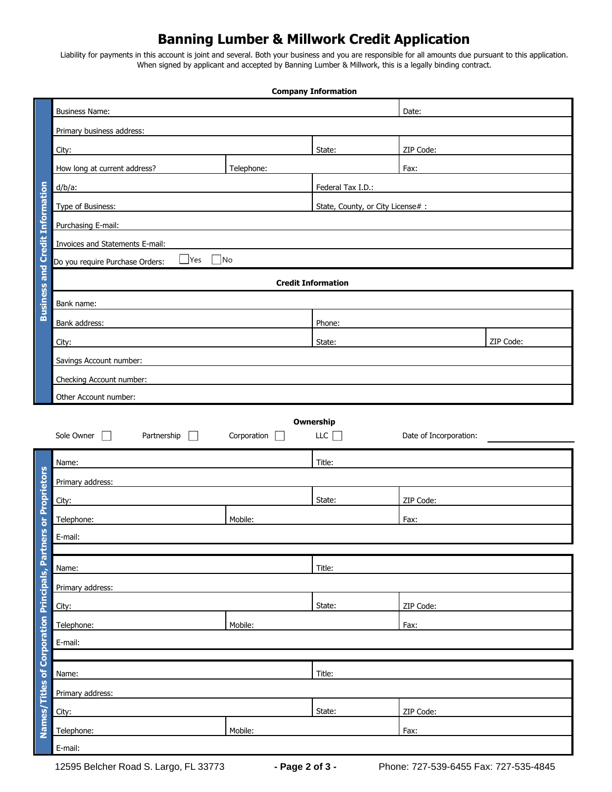## **Banning Lumber & Millwork Credit Application**

Liability for payments in this account is joint and several. Both your business and you are responsible for all amounts due pursuant to this application. When signed by applicant and accepted by Banning Lumber & Millwork, this is a legally binding contract.

|                                                                 | <b>Company Information</b>                              |             |                                   |                        |           |  |  |  |
|-----------------------------------------------------------------|---------------------------------------------------------|-------------|-----------------------------------|------------------------|-----------|--|--|--|
|                                                                 | <b>Business Name:</b>                                   |             | Date:                             |                        |           |  |  |  |
|                                                                 | Primary business address:                               |             |                                   |                        |           |  |  |  |
|                                                                 | City:                                                   |             | State:                            | ZIP Code:              |           |  |  |  |
|                                                                 | How long at current address?                            | Telephone:  |                                   | Fax:                   |           |  |  |  |
|                                                                 | $d/b/a$ :                                               |             | Federal Tax I.D.:                 |                        |           |  |  |  |
|                                                                 | Type of Business:                                       |             | State, County, or City License# : |                        |           |  |  |  |
|                                                                 | Purchasing E-mail:                                      |             |                                   |                        |           |  |  |  |
| <b>Business and Credit Information</b>                          | Invoices and Statements E-mail:                         |             |                                   |                        |           |  |  |  |
|                                                                 | $\Box$ Yes $\Box$ No<br>Do you require Purchase Orders: |             |                                   |                        |           |  |  |  |
|                                                                 | <b>Credit Information</b>                               |             |                                   |                        |           |  |  |  |
|                                                                 | Bank name:                                              |             |                                   |                        |           |  |  |  |
|                                                                 | Bank address:                                           |             | Phone:                            |                        |           |  |  |  |
|                                                                 | City:                                                   |             | State:                            |                        | ZIP Code: |  |  |  |
|                                                                 | Savings Account number:                                 |             |                                   |                        |           |  |  |  |
|                                                                 | Checking Account number:                                |             |                                   |                        |           |  |  |  |
|                                                                 | Other Account number:                                   |             |                                   |                        |           |  |  |  |
|                                                                 |                                                         |             |                                   |                        |           |  |  |  |
|                                                                 | Sole Owner<br>Partnership<br>$\Box$<br>$\mathbf{I}$     | Corporation | Ownership<br>LLC                  | Date of Incorporation: |           |  |  |  |
|                                                                 | Name:                                                   |             | Title:                            |                        |           |  |  |  |
|                                                                 |                                                         |             |                                   |                        |           |  |  |  |
|                                                                 | Primary address:                                        |             | State:                            | ZIP Code:              |           |  |  |  |
|                                                                 | City:<br>Telephone:                                     | Mobile:     |                                   | Fax:                   |           |  |  |  |
|                                                                 | E-mail:                                                 |             |                                   |                        |           |  |  |  |
|                                                                 |                                                         |             |                                   |                        |           |  |  |  |
|                                                                 | Name:                                                   |             | Title:                            |                        |           |  |  |  |
|                                                                 | Primary address:                                        |             |                                   |                        |           |  |  |  |
|                                                                 | City:                                                   |             | State:                            | ZIP Code:              |           |  |  |  |
|                                                                 | Mobile:<br>Telephone:                                   |             |                                   | Fax:                   |           |  |  |  |
|                                                                 | E-mail:                                                 |             |                                   |                        |           |  |  |  |
|                                                                 |                                                         |             |                                   |                        |           |  |  |  |
|                                                                 | Title:<br>Name:                                         |             |                                   |                        |           |  |  |  |
|                                                                 | Primary address:                                        |             |                                   |                        |           |  |  |  |
| Names/Titles of Corporation Principals, Partners or Proprietors | City:                                                   |             | State:                            | ZIP Code:              |           |  |  |  |
|                                                                 | Telephone:<br>Mobile:                                   |             |                                   | Fax:                   |           |  |  |  |
|                                                                 | E-mail:                                                 |             |                                   |                        |           |  |  |  |